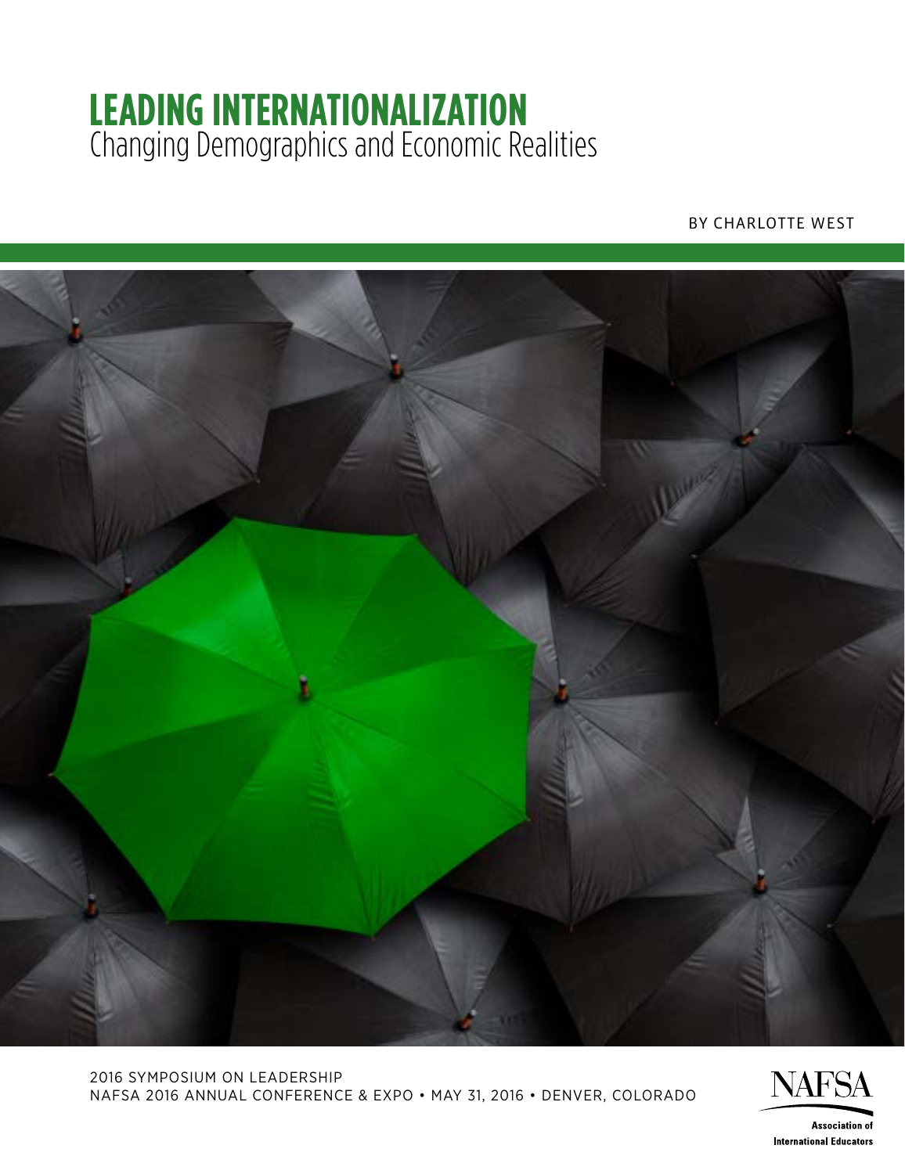# **LEADING INTERNATIONALIZATION** Changing Demographics and Economic Realities

#### BY CHARLOTTE WEST



2016 SYMPOSIUM ON LEADERSHIP NAFSA 2016 ANNUAL CONFERENCE & EXPO • MAY 31, 2016 • DENVER, COLORADO



**Association of International Educators**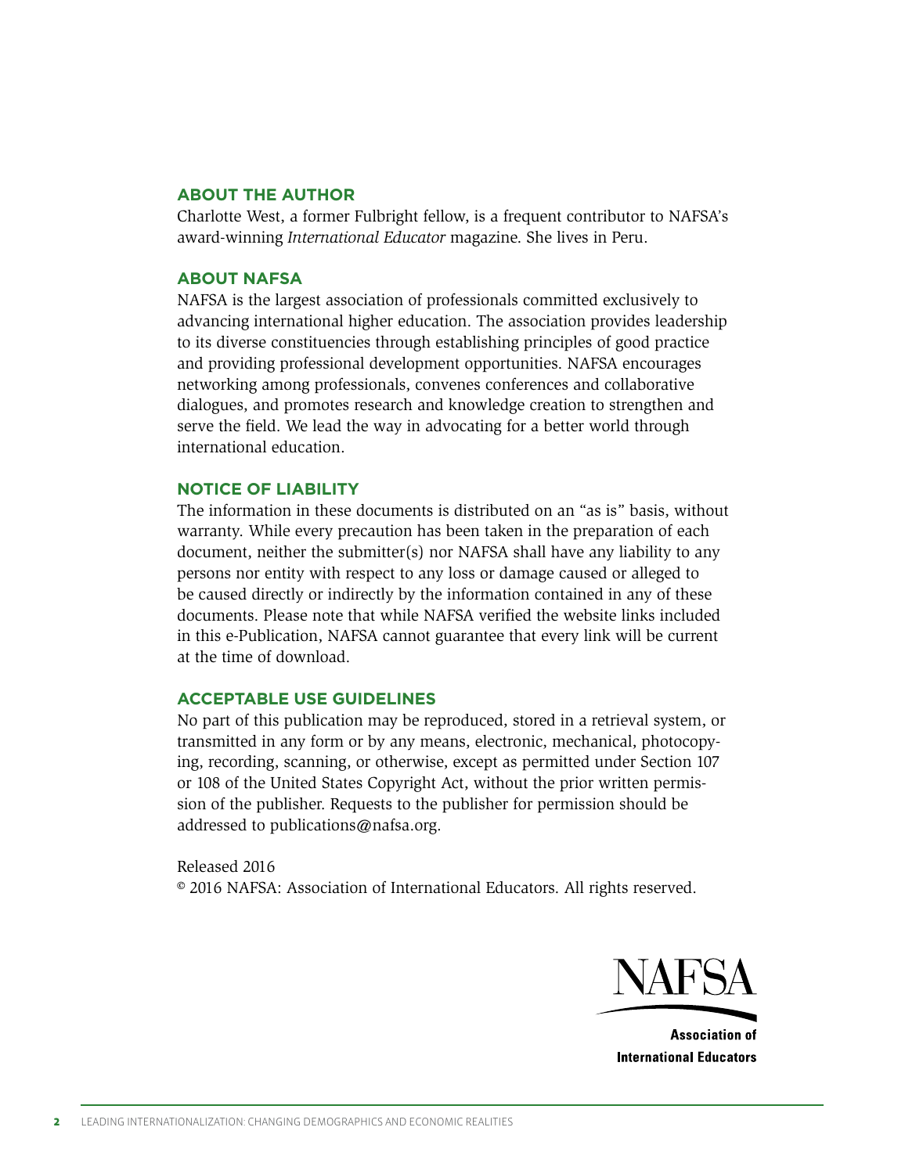#### **ABOUT THE AUTHOR**

Charlotte West, a former Fulbright fellow, is a frequent contributor to NAFSA's award-winning *International Educator* magazine. She lives in Peru.

#### **ABOUT NAFSA**

NAFSA is the largest association of professionals committed exclusively to advancing international higher education. The association provides leadership to its diverse constituencies through establishing principles of good practice and providing professional development opportunities. NAFSA encourages networking among professionals, convenes conferences and collaborative dialogues, and promotes research and knowledge creation to strengthen and serve the field. We lead the way in advocating for a better world through international education.

#### **NOTICE OF LIABILITY**

The information in these documents is distributed on an "as is" basis, without warranty. While every precaution has been taken in the preparation of each document, neither the submitter(s) nor NAFSA shall have any liability to any persons nor entity with respect to any loss or damage caused or alleged to be caused directly or indirectly by the information contained in any of these documents. Please note that while NAFSA verified the website links included in this e-Publication, NAFSA cannot guarantee that every link will be current at the time of download.

#### **ACCEPTABLE USE GUIDELINES**

No part of this publication may be reproduced, stored in a retrieval system, or transmitted in any form or by any means, electronic, mechanical, photocopying, recording, scanning, or otherwise, except as permitted under Section 107 or 108 of the United States Copyright Act, without the prior written permission of the publisher. Requests to the publisher for permission should be addressed to publications@nafsa.org.

Released 2016 © 2016 NAFSA: Association of International Educators. All rights reserved.



**Association of International Educators**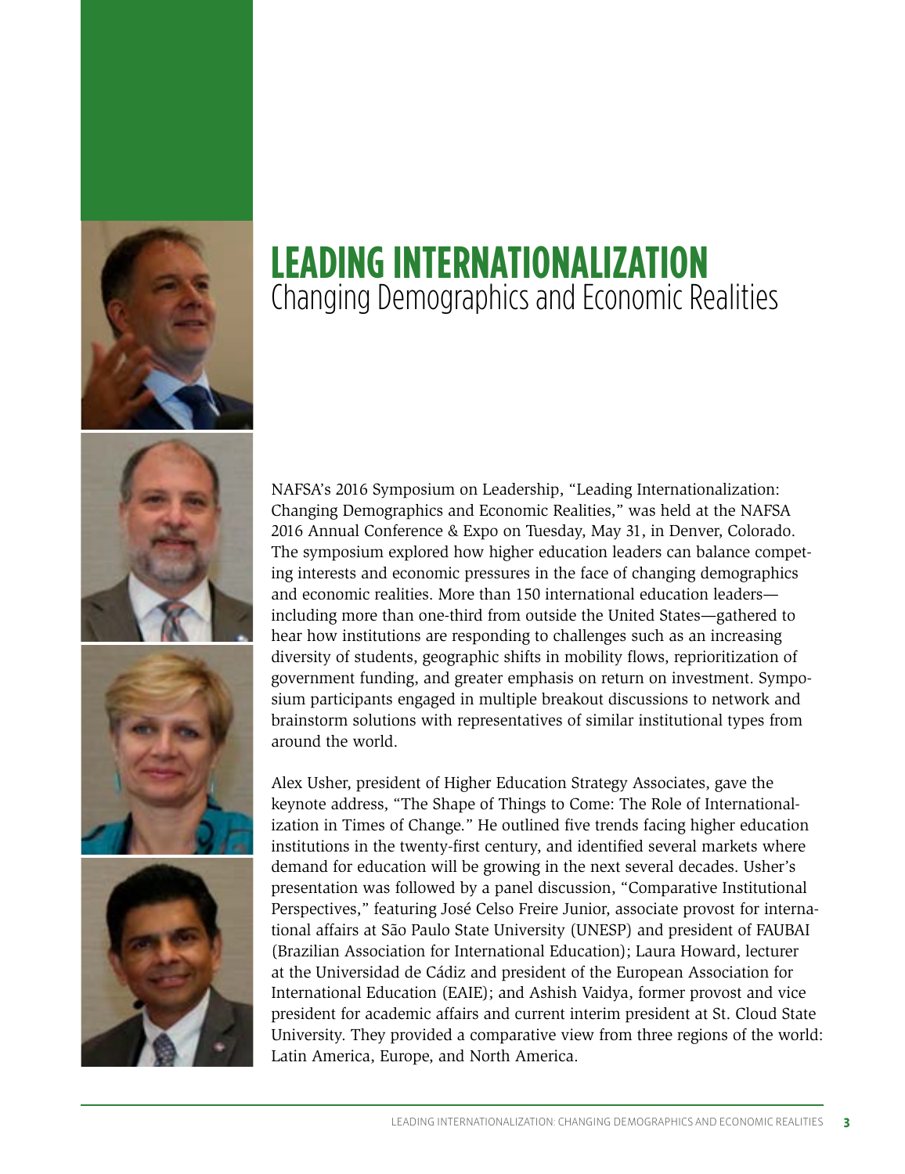







## **LEADING INTERNATIONALIZATION** Changing Demographics and Economic Realities

NAFSA's 2016 Symposium on Leadership, "Leading Internationalization: Changing Demographics and Economic Realities," was held at the NAFSA 2016 Annual Conference & Expo on Tuesday, May 31, in Denver, Colorado. The symposium explored how higher education leaders can balance competing interests and economic pressures in the face of changing demographics and economic realities. More than 150 international education leaders including more than one-third from outside the United States—gathered to hear how institutions are responding to challenges such as an increasing diversity of students, geographic shifts in mobility flows, reprioritization of government funding, and greater emphasis on return on investment. Symposium participants engaged in multiple breakout discussions to network and brainstorm solutions with representatives of similar institutional types from around the world.

Alex Usher, president of Higher Education Strategy Associates, gave the keynote address, "The Shape of Things to Come: The Role of Internationalization in Times of Change." He outlined five trends facing higher education institutions in the twenty-first century, and identified several markets where demand for education will be growing in the next several decades. Usher's presentation was followed by a panel discussion, "Comparative Institutional Perspectives," featuring José Celso Freire Junior, associate provost for international affairs at São Paulo State University (UNESP) and president of FAUBAI (Brazilian Association for International Education); Laura Howard, lecturer at the Universidad de Cádiz and president of the European Association for International Education (EAIE); and Ashish Vaidya, former provost and vice president for academic affairs and current interim president at St. Cloud State University. They provided a comparative view from three regions of the world: Latin America, Europe, and North America.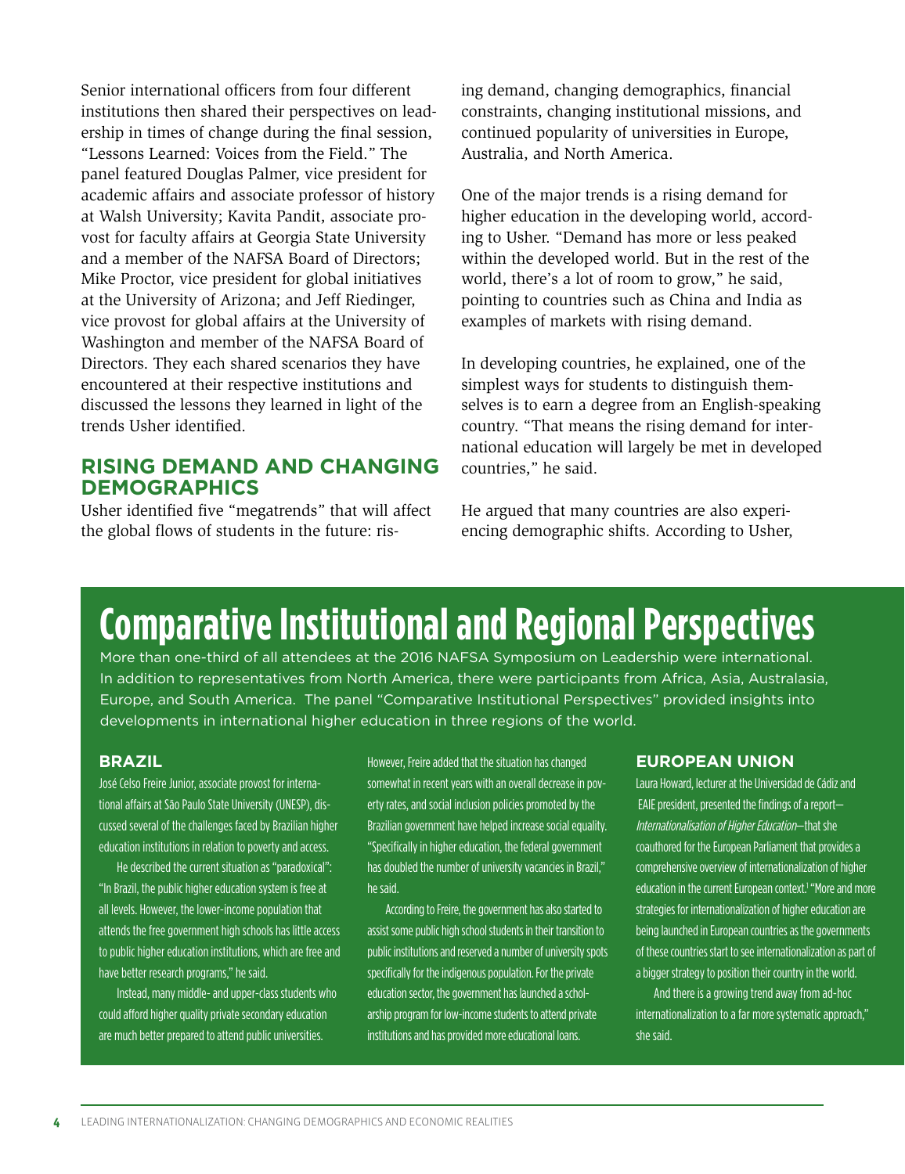Senior international officers from four different institutions then shared their perspectives on leadership in times of change during the final session, "Lessons Learned: Voices from the Field." The panel featured Douglas Palmer, vice president for academic affairs and associate professor of history at Walsh University; Kavita Pandit, associate provost for faculty affairs at Georgia State University and a member of the NAFSA Board of Directors; Mike Proctor, vice president for global initiatives at the University of Arizona; and Jeff Riedinger, vice provost for global affairs at the University of Washington and member of the NAFSA Board of Directors. They each shared scenarios they have encountered at their respective institutions and discussed the lessons they learned in light of the trends Usher identified.

## **RISING DEMAND AND CHANGING DEMOGRAPHICS**

Usher identified five "megatrends" that will affect the global flows of students in the future: rising demand, changing demographics, financial constraints, changing institutional missions, and continued popularity of universities in Europe, Australia, and North America.

One of the major trends is a rising demand for higher education in the developing world, according to Usher. "Demand has more or less peaked within the developed world. But in the rest of the world, there's a lot of room to grow," he said, pointing to countries such as China and India as examples of markets with rising demand.

In developing countries, he explained, one of the simplest ways for students to distinguish themselves is to earn a degree from an English-speaking country. "That means the rising demand for international education will largely be met in developed countries," he said.

He argued that many countries are also experiencing demographic shifts. According to Usher,

# **Comparative Institutional and Regional Perspectives**

More than one-third of all attendees at the 2016 NAFSA Symposium on Leadership were international. In addition to representatives from North America, there were participants from Africa, Asia, Australasia, Europe, and South America. The panel "Comparative Institutional Perspectives" provided insights into developments in international higher education in three regions of the world.

#### **BRAZIL**

José Celso Freire Junior, associate provost for international affairs at São Paulo State University (UNESP), discussed several of the challenges faced by Brazilian higher education institutions in relation to poverty and access.

He described the current situation as "paradoxical": "In Brazil, the public higher education system is free at all levels. However, the lower-income population that attends the free government high schools has little access to public higher education institutions, which are free and have better research programs," he said.

Instead, many middle- and upper-class students who could afford higher quality private secondary education are much better prepared to attend public universities.

However, Freire added that the situation has changed somewhat in recent years with an overall decrease in poverty rates, and social inclusion policies promoted by the Brazilian government have helped increase social equality. "Specifically in higher education, the federal government has doubled the number of university vacancies in Brazil," he said.

According to Freire, the government has also started to assist some public high school students in their transition to public institutions and reserved a number of university spots specifically for the indigenous population. For the private education sector, the government has launched a scholarship program for low-income students to attend private institutions and has provided more educational loans.

#### **EUROPEAN UNION**

Laura Howard, lecturer at the Universidad de Cádiz and EAIE president, presented the findings of a report— Internationalisation of Higher Education—that she coauthored for the European Parliament that provides a comprehensive overview of internationalization of higher education in the current European context.<sup>1</sup> "More and more strategies for internationalization of higher education are being launched in European countries as the governments of these countries start to see internationalization as part of a bigger strategy to position their country in the world.

And there is a growing trend away from ad-hoc internationalization to a far more systematic approach," she said.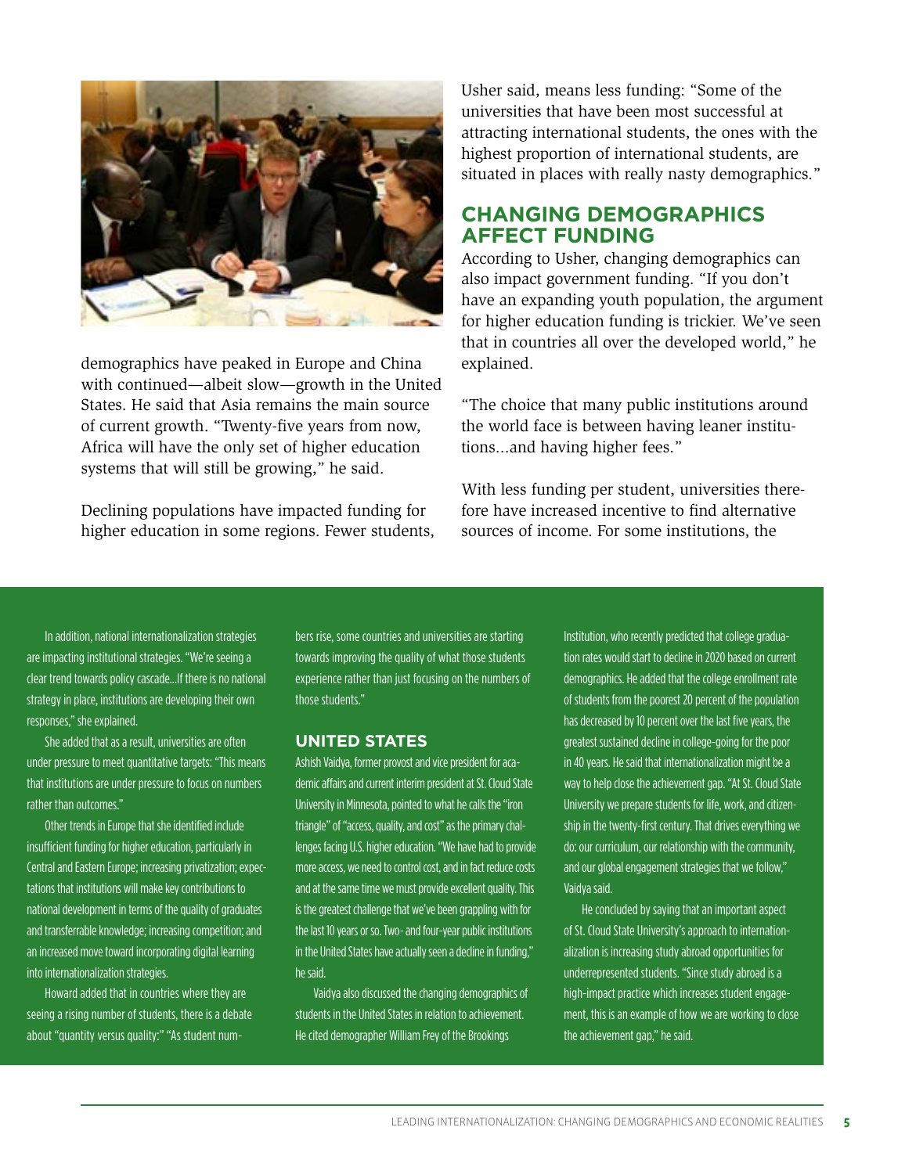

demographics have peaked in Europe and China with continued—albeit slow—growth in the United States. He said that Asia remains the main source of current growth. "Twenty-five years from now, Africa will have the only set of higher education systems that will still be growing," he said.

Declining populations have impacted funding for higher education in some regions. Fewer students, Usher said, means less funding: "Some of the universities that have been most successful at attracting international students, the ones with the highest proportion of international students, are situated in places with really nasty demographics."

## **CHANGING DEMOGRAPHICS AFFECT FUNDING**

According to Usher, changing demographics can also impact government funding. "If you don't have an expanding youth population, the argument for higher education funding is trickier. We've seen that in countries all over the developed world," he explained.

"The choice that many public institutions around the world face is between having leaner institutions...and having higher fees."

With less funding per student, universities therefore have increased incentive to find alternative sources of income. For some institutions, the

In addition, national internationalization strategies are impacting institutional strategies. "We're seeing a clear trend towards policy cascade...If there is no national strategy in place, institutions are developing their own responses," she explained.

She added that as a result, universities are often under pressure to meet quantitative targets: "This means that institutions are under pressure to focus on numbers rather than outcomes."

Other trends in Europe that she identified include insufficient funding for higher education, particularly in Central and Eastern Europe; increasing privatization; expectations that institutions will make key contributions to national development in terms of the quality of graduates and transferrable knowledge; increasing competition; and an increased move toward incorporating digital learning into internationalization strategies.

Howard added that in countries where they are seeing a rising number of students, there is a debate about "quantity versus quality:" "As student numbers rise, some countries and universities are starting towards improving the quality of what those students experience rather than just focusing on the numbers of those students."

#### **UNITED STATES**

Ashish Vaidya, former provost and vice president for academic affairs and current interim president at St. Cloud State University in Minnesota, pointed to what he calls the "iron triangle" of "access, quality, and cost" as the primary challenges facing U.S. higher education. "We have had to provide more access, we need to control cost, and in fact reduce costs and at the same time we must provide excellent quality. This is the greatest challenge that we've been grappling with for the last 10 years or so. Two- and four-year public institutions in the United States have actually seen a decline in funding," he said.

Vaidya also discussed the changing demographics of students in the United States in relation to achievement. He cited demographer William Frey of the Brookings

Institution, who recently predicted that college graduation rates would start to decline in 2020 based on current demographics. He added that the college enrollment rate of students from the poorest 20 percent of the population has decreased by 10 percent over the last five years, the greatest sustained decline in college-going for the poor in 40 years. He said that internationalization might be a way to help close the achievement gap. "At St. Cloud State University we prepare students for life, work, and citizenship in the twenty-first century. That drives everything we do: our curriculum, our relationship with the community, and our global engagement strategies that we follow," Vaidya said.

He concluded by saying that an important aspect of St. Cloud State University's approach to internationalization is increasing study abroad opportunities for underrepresented students. "Since study abroad is a high-impact practice which increases student engagement, this is an example of how we are working to close the achievement gap," he said.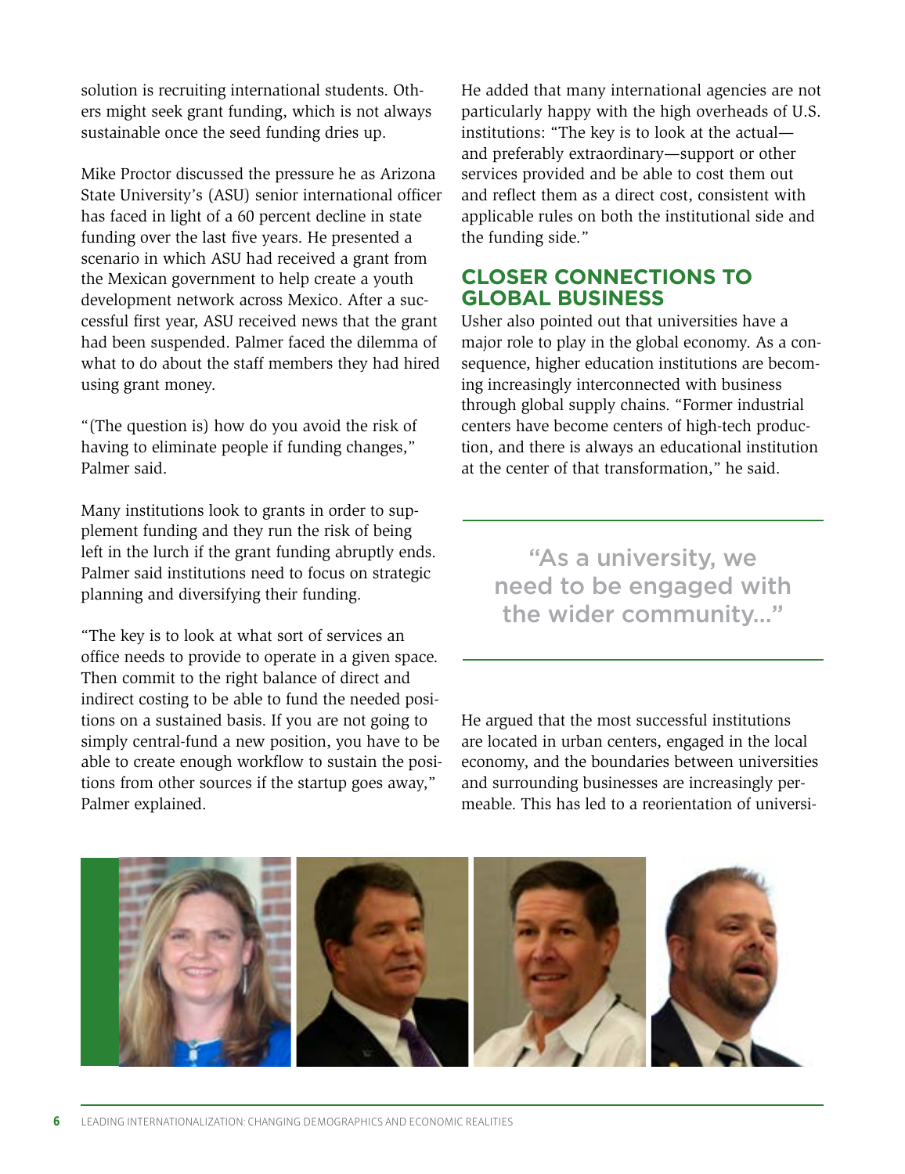solution is recruiting international students. Others might seek grant funding, which is not always sustainable once the seed funding dries up.

Mike Proctor discussed the pressure he as Arizona State University's (ASU) senior international officer has faced in light of a 60 percent decline in state funding over the last five years. He presented a scenario in which ASU had received a grant from the Mexican government to help create a youth development network across Mexico. After a successful first year, ASU received news that the grant had been suspended. Palmer faced the dilemma of what to do about the staff members they had hired using grant money.

"(The question is) how do you avoid the risk of having to eliminate people if funding changes," Palmer said.

Many institutions look to grants in order to supplement funding and they run the risk of being left in the lurch if the grant funding abruptly ends. Palmer said institutions need to focus on strategic planning and diversifying their funding.

"The key is to look at what sort of services an office needs to provide to operate in a given space. Then commit to the right balance of direct and indirect costing to be able to fund the needed positions on a sustained basis. If you are not going to simply central-fund a new position, you have to be able to create enough workflow to sustain the positions from other sources if the startup goes away," Palmer explained.

He added that many international agencies are not particularly happy with the high overheads of U.S. institutions: "The key is to look at the actual and preferably extraordinary—support or other services provided and be able to cost them out and reflect them as a direct cost, consistent with applicable rules on both the institutional side and the funding side."

## **CLOSER CONNECTIONS TO GLOBAL BUSINESS**

Usher also pointed out that universities have a major role to play in the global economy. As a consequence, higher education institutions are becoming increasingly interconnected with business through global supply chains. "Former industrial centers have become centers of high-tech production, and there is always an educational institution at the center of that transformation," he said.

"As a university, we need to be engaged with the wider community…"

He argued that the most successful institutions are located in urban centers, engaged in the local economy, and the boundaries between universities and surrounding businesses are increasingly permeable. This has led to a reorientation of universi-

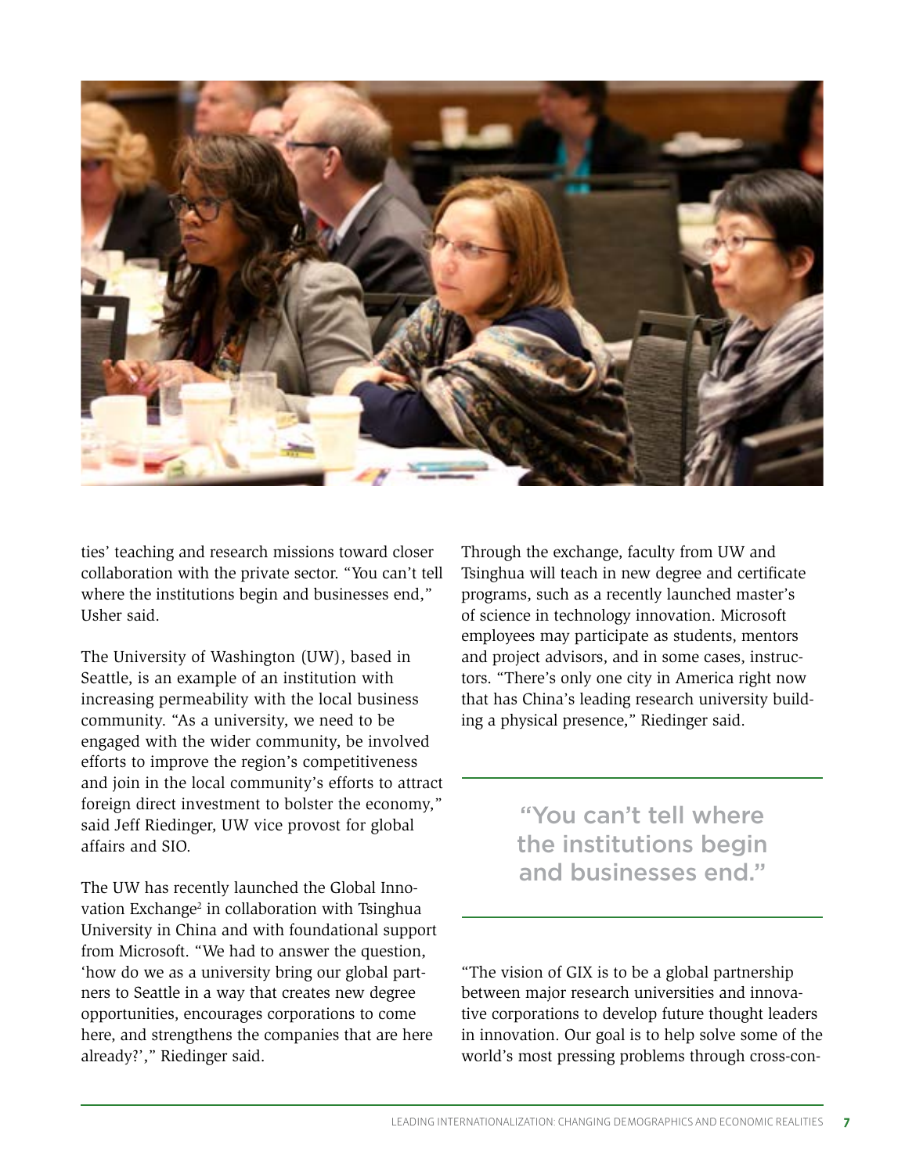

ties' teaching and research missions toward closer collaboration with the private sector. "You can't tell where the institutions begin and businesses end," Usher said.

The University of Washington (UW), based in Seattle, is an example of an institution with increasing permeability with the local business community. "As a university, we need to be engaged with the wider community, be involved efforts to improve the region's competitiveness and join in the local community's efforts to attract foreign direct investment to bolster the economy," said Jeff Riedinger, UW vice provost for global affairs and SIO.

The UW has recently launched the Global Innovation Exchange<sup>2</sup> in collaboration with Tsinghua University in China and with foundational support from Microsoft. "We had to answer the question, 'how do we as a university bring our global partners to Seattle in a way that creates new degree opportunities, encourages corporations to come here, and strengthens the companies that are here already?'," Riedinger said.

Through the exchange, faculty from UW and Tsinghua will teach in new degree and certificate programs, such as a recently launched master's of science in technology innovation. Microsoft employees may participate as students, mentors and project advisors, and in some cases, instructors. "There's only one city in America right now that has China's leading research university building a physical presence," Riedinger said.

> "You can't tell where the institutions begin and businesses end."

"The vision of GIX is to be a global partnership between major research universities and innovative corporations to develop future thought leaders in innovation. Our goal is to help solve some of the world's most pressing problems through cross-con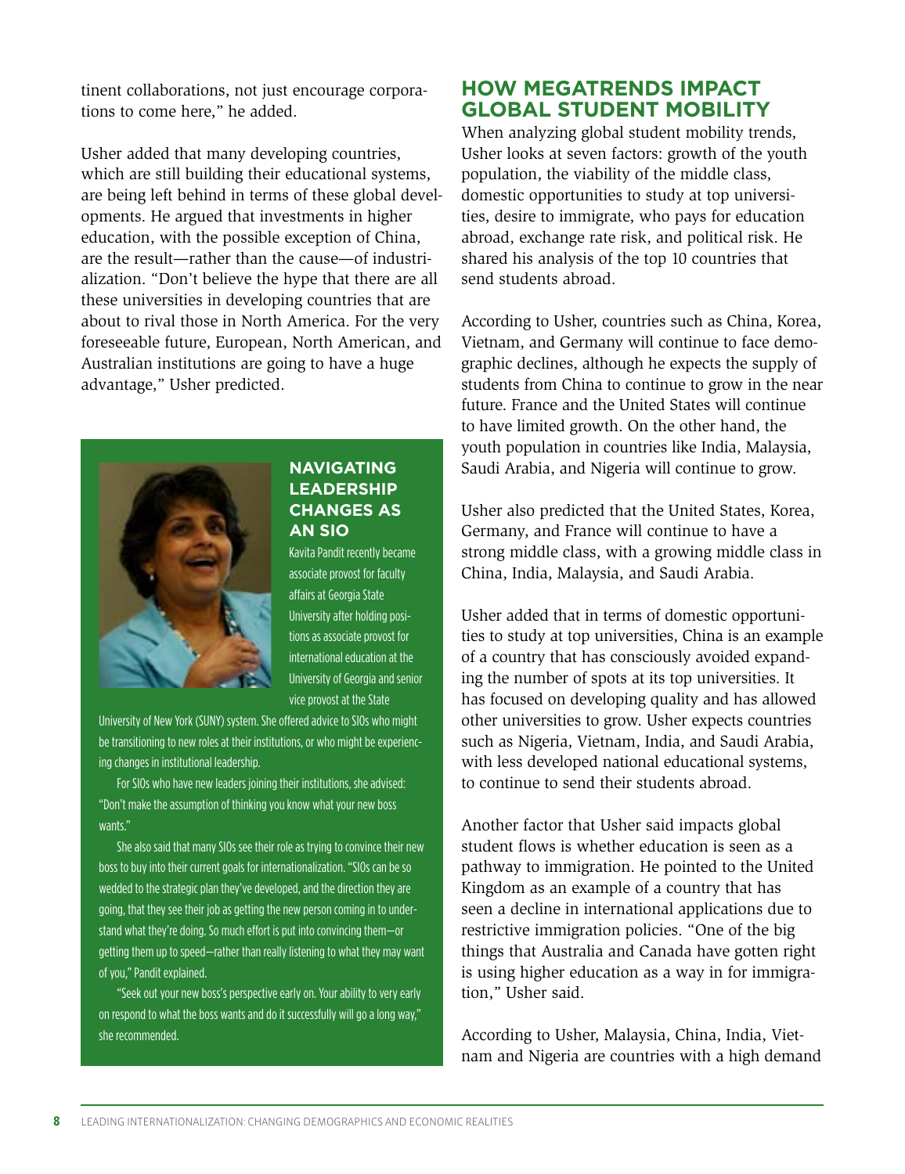tinent collaborations, not just encourage corporations to come here," he added.

Usher added that many developing countries, which are still building their educational systems, are being left behind in terms of these global developments. He argued that investments in higher education, with the possible exception of China, are the result—rather than the cause—of industrialization. "Don't believe the hype that there are all these universities in developing countries that are about to rival those in North America. For the very foreseeable future, European, North American, and Australian institutions are going to have a huge advantage," Usher predicted.



## **NAVIGATING LEADERSHIP CHANGES AS AN SIO**

Kavita Pandit recently became associate provost for faculty affairs at Georgia State University after holding positions as associate provost for international education at the University of Georgia and senior vice provost at the State

University of New York (SUNY) system. She offered advice to SIOs who might be transitioning to new roles at their institutions, or who might be experiencing changes in institutional leadership.

For SIOs who have new leaders joining their institutions, she advised: "Don't make the assumption of thinking you know what your new boss wants."

She also said that many SIOs see their role as trying to convince their new boss to buy into their current goals for internationalization. "SIOs can be so wedded to the strategic plan they've developed, and the direction they are going, that they see their job as getting the new person coming in to understand what they're doing. So much effort is put into convincing them—or getting them up to speed—rather than really listening to what they may want of you," Pandit explained.

"Seek out your new boss's perspective early on. Your ability to very early on respond to what the boss wants and do it successfully will go a long way," she recommended.

## **HOW MEGATRENDS IMPACT GLOBAL STUDENT MOBILITY**

When analyzing global student mobility trends, Usher looks at seven factors: growth of the youth population, the viability of the middle class, domestic opportunities to study at top universities, desire to immigrate, who pays for education abroad, exchange rate risk, and political risk. He shared his analysis of the top 10 countries that send students abroad.

According to Usher, countries such as China, Korea, Vietnam, and Germany will continue to face demographic declines, although he expects the supply of students from China to continue to grow in the near future. France and the United States will continue to have limited growth. On the other hand, the youth population in countries like India, Malaysia, Saudi Arabia, and Nigeria will continue to grow.

Usher also predicted that the United States, Korea, Germany, and France will continue to have a strong middle class, with a growing middle class in China, India, Malaysia, and Saudi Arabia.

Usher added that in terms of domestic opportunities to study at top universities, China is an example of a country that has consciously avoided expanding the number of spots at its top universities. It has focused on developing quality and has allowed other universities to grow. Usher expects countries such as Nigeria, Vietnam, India, and Saudi Arabia, with less developed national educational systems, to continue to send their students abroad.

Another factor that Usher said impacts global student flows is whether education is seen as a pathway to immigration. He pointed to the United Kingdom as an example of a country that has seen a decline in international applications due to restrictive immigration policies. "One of the big things that Australia and Canada have gotten right is using higher education as a way in for immigration," Usher said.

According to Usher, Malaysia, China, India, Vietnam and Nigeria are countries with a high demand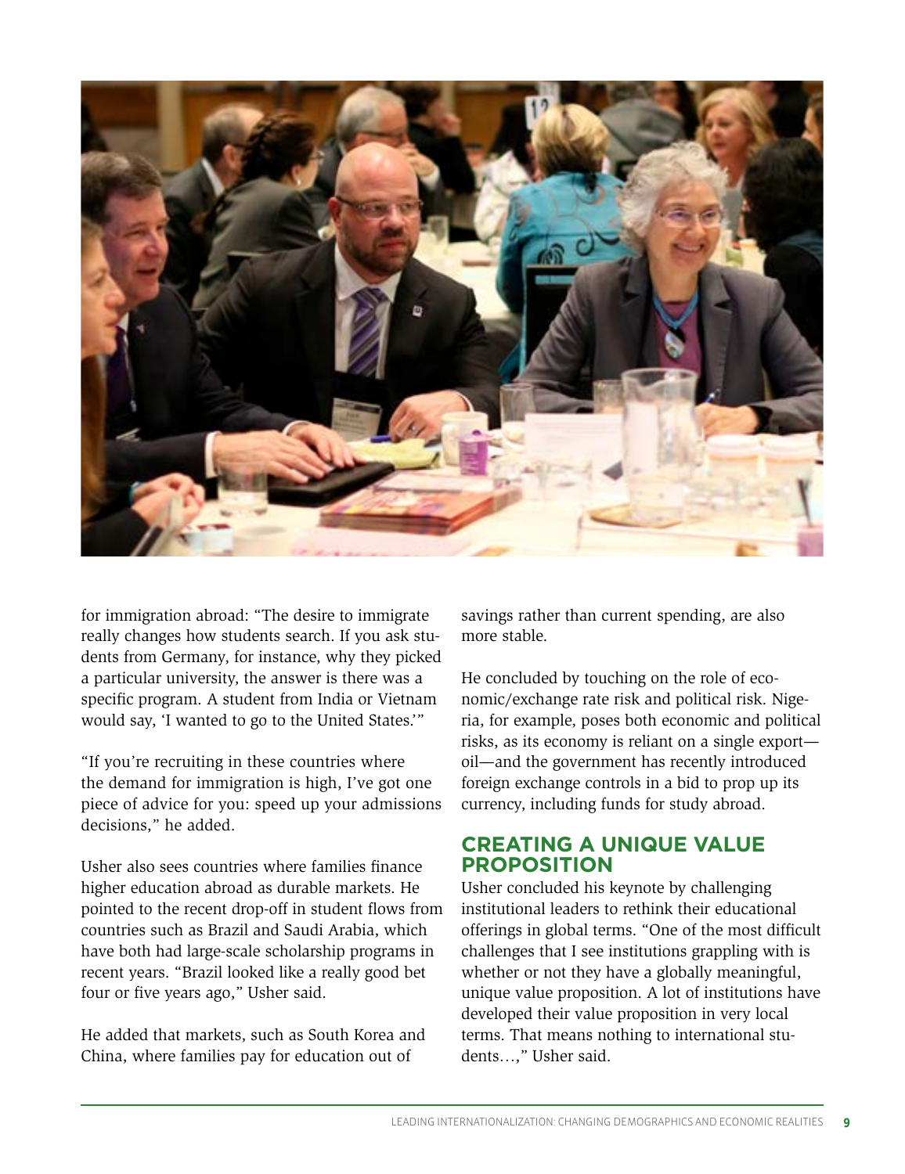

for immigration abroad: "The desire to immigrate really changes how students search. If you ask students from Germany, for instance, why they picked a particular university, the answer is there was a specific program. A student from India or Vietnam would say, 'I wanted to go to the United States.'"

"If you're recruiting in these countries where the demand for immigration is high, I've got one piece of advice for you: speed up your admissions decisions," he added.

Usher also sees countries where families finance higher education abroad as durable markets. He pointed to the recent drop-off in student flows from countries such as Brazil and Saudi Arabia, which have both had large-scale scholarship programs in recent years. "Brazil looked like a really good bet four or five years ago," Usher said.

He added that markets, such as South Korea and China, where families pay for education out of

savings rather than current spending, are also more stable.

He concluded by touching on the role of economic/exchange rate risk and political risk. Nigeria, for example, poses both economic and political risks, as its economy is reliant on a single export oil—and the government has recently introduced foreign exchange controls in a bid to prop up its currency, including funds for study abroad.

## **CREATING A UNIQUE VALUE PROPOSITION**

Usher concluded his keynote by challenging institutional leaders to rethink their educational offerings in global terms. "One of the most difficult challenges that I see institutions grappling with is whether or not they have a globally meaningful, unique value proposition. A lot of institutions have developed their value proposition in very local terms. That means nothing to international students…," Usher said.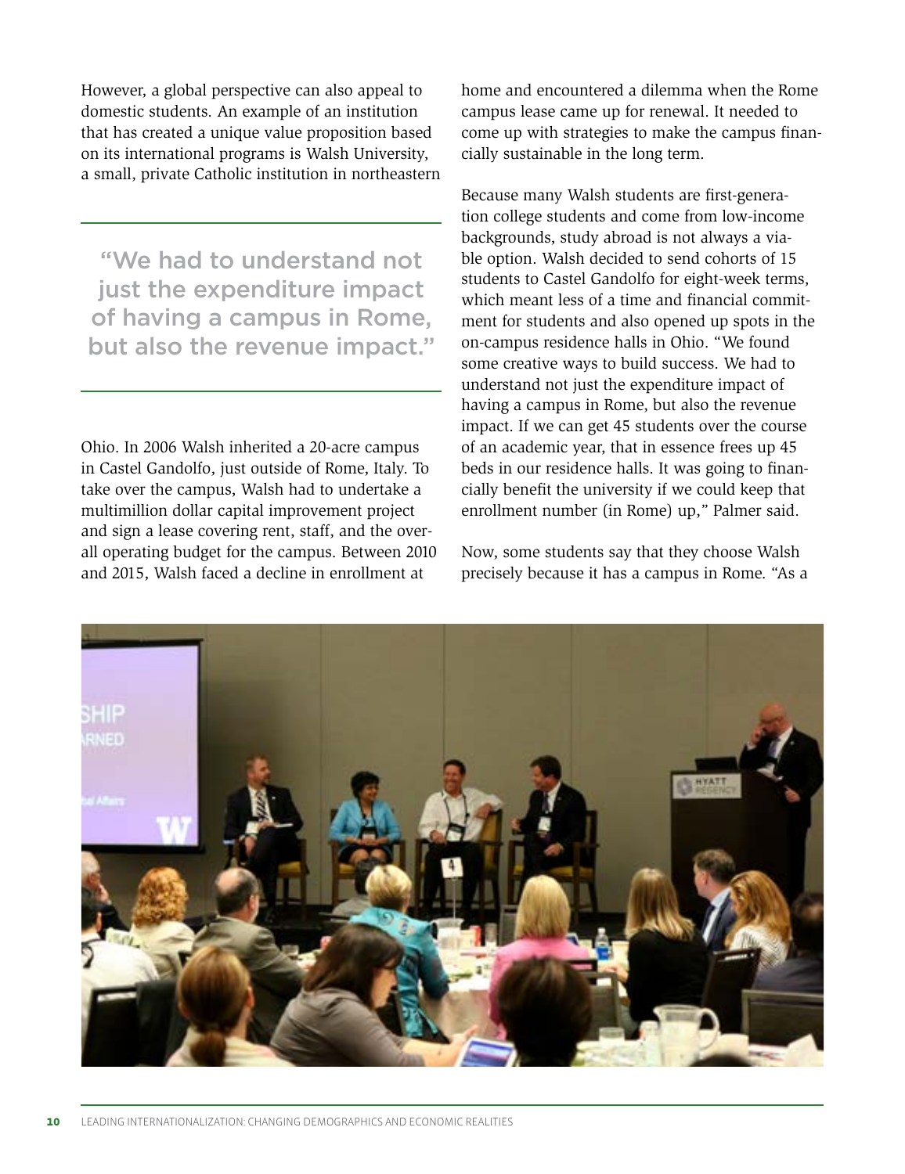However, a global perspective can also appeal to domestic students. An example of an institution that has created a unique value proposition based on its international programs is Walsh University, a small, private Catholic institution in northeastern

"We had to understand not just the expenditure impact of having a campus in Rome, but also the revenue impact."

Ohio. In 2006 Walsh inherited a 20-acre campus in Castel Gandolfo, just outside of Rome, Italy. To take over the campus, Walsh had to undertake a multimillion dollar capital improvement project and sign a lease covering rent, staff, and the overall operating budget for the campus. Between 2010 and 2015, Walsh faced a decline in enrollment at

home and encountered a dilemma when the Rome campus lease came up for renewal. It needed to come up with strategies to make the campus financially sustainable in the long term.

Because many Walsh students are first-generation college students and come from low-income backgrounds, study abroad is not always a viable option. Walsh decided to send cohorts of 15 students to Castel Gandolfo for eight-week terms, which meant less of a time and financial commitment for students and also opened up spots in the on-campus residence halls in Ohio. "We found some creative ways to build success. We had to understand not just the expenditure impact of having a campus in Rome, but also the revenue impact. If we can get 45 students over the course of an academic year, that in essence frees up 45 beds in our residence halls. It was going to financially benefit the university if we could keep that enrollment number (in Rome) up," Palmer said.

Now, some students say that they choose Walsh precisely because it has a campus in Rome. "As a